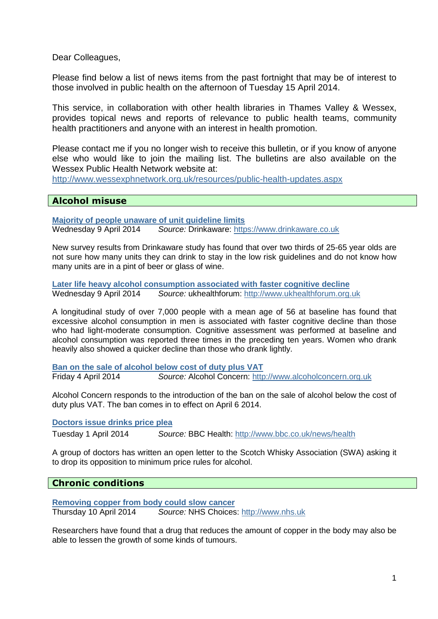Dear Colleagues,

Please find below a list of news items from the past fortnight that may be of interest to those involved in public health on the afternoon of Tuesday 15 April 2014.

This service, in collaboration with other health libraries in Thames Valley & Wessex, provides topical news and reports of relevance to public health teams, community health practitioners and anyone with an interest in health promotion.

Please contact me if you no longer wish to receive this bulletin, or if you know of anyone else who would like to join the mailing list. The bulletins are also available on the Wessex Public Health Network website at:

http://www.wessexphnetwork.org.uk/resources/public-health-updates.aspx

## **Alcohol misuse**

**Majority of people unaware of unit guideline limits**  Wednesday 9 April 2014 Source: Drinkaware: https://www.drinkaware.co.uk

New survey results from Drinkaware study has found that over two thirds of 25-65 year olds are not sure how many units they can drink to stay in the low risk guidelines and do not know how many units are in a pint of beer or glass of wine.

**Later life heavy alcohol consumption associated with faster cognitive decline**  Wednesday 9 April 2014 Source: ukhealthforum: http://www.ukhealthforum.org.uk

A longitudinal study of over 7,000 people with a mean age of 56 at baseline has found that excessive alcohol consumption in men is associated with faster cognitive decline than those who had light-moderate consumption. Cognitive assessment was performed at baseline and alcohol consumption was reported three times in the preceding ten years. Women who drank heavily also showed a quicker decline than those who drank lightly.

**Ban on the sale of alcohol below cost of duty plus VAT**<br>Friday 4 April 2014 **Source:** Alcohol Concern: http

Source: Alcohol Concern: http://www.alcoholconcern.org.uk

Alcohol Concern responds to the introduction of the ban on the sale of alcohol below the cost of duty plus VAT. The ban comes in to effect on April 6 2014.

### **Doctors issue drinks price plea**

Tuesday 1 April 2014 Source: BBC Health: http://www.bbc.co.uk/news/health

A group of doctors has written an open letter to the Scotch Whisky Association (SWA) asking it to drop its opposition to minimum price rules for alcohol.

## **Chronic conditions**

**Removing copper from body could slow cancer** Thursday 10 April 2014 Source: NHS Choices: http://www.nhs.uk

Researchers have found that a drug that reduces the amount of copper in the body may also be able to lessen the growth of some kinds of tumours.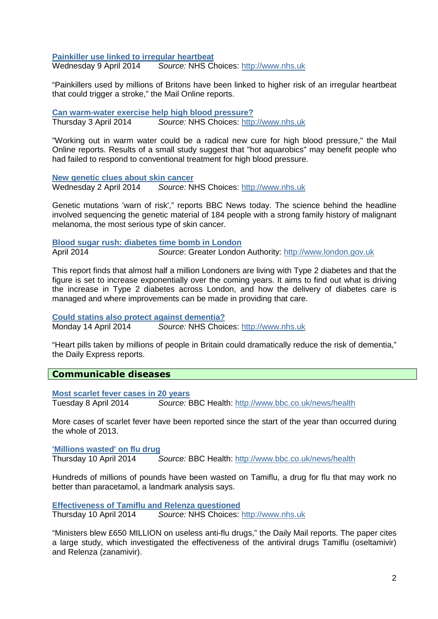**Painkiller use linked to irregular heartbeat** Wednesday 9 April 2014 Source: NHS Choices: http://www.nhs.uk

"Painkillers used by millions of Britons have been linked to higher risk of an irregular heartbeat that could trigger a stroke," the Mail Online reports.

**Can warm-water exercise help high blood pressure?** Thursday 3 April 2014 Source: NHS Choices: http://www.nhs.uk

"Working out in warm water could be a radical new cure for high blood pressure," the Mail Online reports. Results of a small study suggest that "hot aquarobics" may benefit people who had failed to respond to conventional treatment for high blood pressure.

**New genetic clues about skin cancer**

Wednesday 2 April 2014 Source: NHS Choices: http://www.nhs.uk

Genetic mutations 'warn of risk'," reports BBC News today. The science behind the headline involved sequencing the genetic material of 184 people with a strong family history of malignant melanoma, the most serious type of skin cancer.

**Blood sugar rush: diabetes time bomb in London** April 2014 Source: Greater London Authority: http://www.london.gov.uk

This report finds that almost half a million Londoners are living with Type 2 diabetes and that the figure is set to increase exponentially over the coming years. It aims to find out what is driving the increase in Type 2 diabetes across London, and how the delivery of diabetes care is managed and where improvements can be made in providing that care.

**Could statins also protect against dementia?**

Monday 14 April 2014 Source: NHS Choices: http://www.nhs.uk

"Heart pills taken by millions of people in Britain could dramatically reduce the risk of dementia," the Daily Express reports.

## **Communicable diseases**

**Most scarlet fever cases in 20 years** 

Tuesday 8 April 2014 Source: BBC Health: http://www.bbc.co.uk/news/health

More cases of scarlet fever have been reported since the start of the year than occurred during the whole of 2013.

**'Millions wasted' on flu drug**

Thursday 10 April 2014 Source: BBC Health: http://www.bbc.co.uk/news/health

Hundreds of millions of pounds have been wasted on Tamiflu, a drug for flu that may work no better than paracetamol, a landmark analysis says.

**Effectiveness of Tamiflu and Relenza questioned** Thursday 10 April 2014 Source: NHS Choices: http://www.nhs.uk

"Ministers blew £650 MILLION on useless anti-flu drugs," the Daily Mail reports. The paper cites a large study, which investigated the effectiveness of the antiviral drugs Tamiflu (oseltamivir) and Relenza (zanamivir).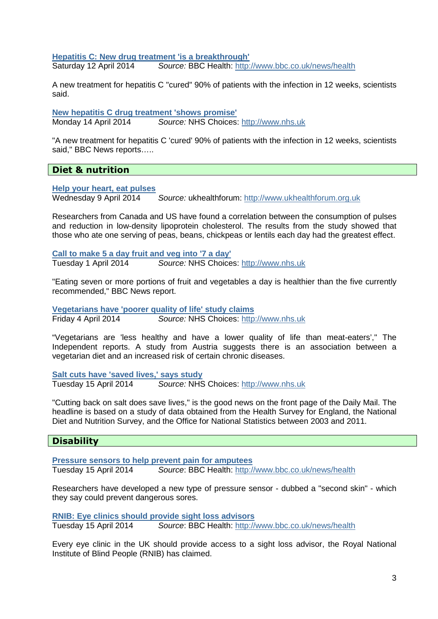**Hepatitis C: New drug treatment 'is a breakthrough'** Saturday 12 April 2014 Source: BBC Health: http://www.bbc.co.uk/news/health

A new treatment for hepatitis C "cured" 90% of patients with the infection in 12 weeks, scientists said.

**New hepatitis C drug treatment 'shows promise'** Monday 14 April 2014 Source: NHS Choices: http://www.nhs.uk

"A new treatment for hepatitis C 'cured' 90% of patients with the infection in 12 weeks, scientists said," BBC News reports.....

## **Diet & nutrition**

**Help your heart, eat pulses** 

Wednesday 9 April 2014 Source: ukhealthforum: http://www.ukhealthforum.org.uk

Researchers from Canada and US have found a correlation between the consumption of pulses and reduction in low-density lipoprotein cholesterol. The results from the study showed that those who ate one serving of peas, beans, chickpeas or lentils each day had the greatest effect.

**Call to make 5 a day fruit and veg into '7 a day'** Tuesday 1 April 2014 Source: NHS Choices: http://www.nhs.uk

"Eating seven or more portions of fruit and vegetables a day is healthier than the five currently recommended," BBC News report.

**Vegetarians have 'poorer quality of life' study claims**  Friday 4 April 2014 Source: NHS Choices: http://www.nhs.uk

"Vegetarians are 'less healthy and have a lower quality of life than meat-eaters','' The Independent reports. A study from Austria suggests there is an association between a vegetarian diet and an increased risk of certain chronic diseases.

**Salt cuts have 'saved lives,' says study**

Tuesday 15 April 2014 Source: NHS Choices: http://www.nhs.uk

"Cutting back on salt does save lives," is the good news on the front page of the Daily Mail. The headline is based on a study of data obtained from the Health Survey for England, the National Diet and Nutrition Survey, and the Office for National Statistics between 2003 and 2011.

## **Disability**

**Pressure sensors to help prevent pain for amputees**

Tuesday 15 April 2014 Source: BBC Health: http://www.bbc.co.uk/news/health

Researchers have developed a new type of pressure sensor - dubbed a "second skin" - which they say could prevent dangerous sores.

**RNIB: Eye clinics should provide sight loss advisors** Tuesday 15 April 2014 Source: BBC Health: http://www.bbc.co.uk/news/health

Every eye clinic in the UK should provide access to a sight loss advisor, the Royal National Institute of Blind People (RNIB) has claimed.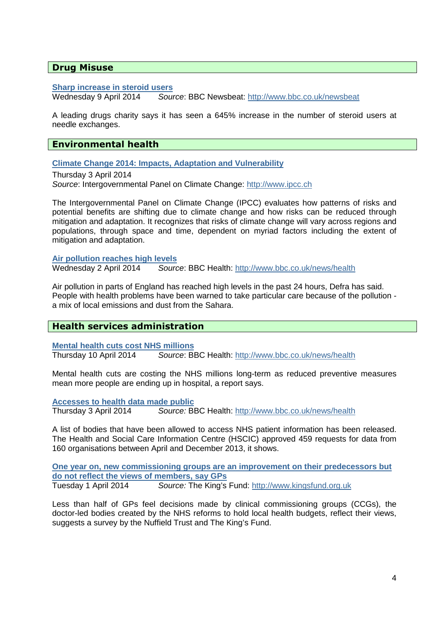## **Drug Misuse**

#### **Sharp increase in steroid users**

Wednesday 9 April 2014 Source: BBC Newsbeat: http://www.bbc.co.uk/newsbeat

A leading drugs charity says it has seen a 645% increase in the number of steroid users at needle exchanges.

### **Environmental health**

**Climate Change 2014: Impacts, Adaptation and Vulnerability** 

Thursday 3 April 2014 Source: Intergovernmental Panel on Climate Change: http://www.ipcc.ch

The Intergovernmental Panel on Climate Change (IPCC) evaluates how patterns of risks and potential benefits are shifting due to climate change and how risks can be reduced through mitigation and adaptation. It recognizes that risks of climate change will vary across regions and populations, through space and time, dependent on myriad factors including the extent of mitigation and adaptation.

**Air pollution reaches high levels**

Wednesday 2 April 2014 Source: BBC Health: http://www.bbc.co.uk/news/health

Air pollution in parts of England has reached high levels in the past 24 hours, Defra has said. People with health problems have been warned to take particular care because of the pollution a mix of local emissions and dust from the Sahara.

# **Health services administration**

**Mental health cuts cost NHS millions**

Thursday 10 April 2014 Source: BBC Health: http://www.bbc.co.uk/news/health

Mental health cuts are costing the NHS millions long-term as reduced preventive measures mean more people are ending up in hospital, a report says.

**Accesses to health data made public**

Thursday 3 April 2014 Source: BBC Health: http://www.bbc.co.uk/news/health

A list of bodies that have been allowed to access NHS patient information has been released. The Health and Social Care Information Centre (HSCIC) approved 459 requests for data from 160 organisations between April and December 2013, it shows.

**One year on, new commissioning groups are an improvement on their predecessors but do not reflect the views of members, say GPs** Tuesday 1 April 2014 Source: The King's Fund: http://www.kingsfund.org.uk

Less than half of GPs feel decisions made by clinical commissioning groups (CCGs), the doctor-led bodies created by the NHS reforms to hold local health budgets, reflect their views, suggests a survey by the Nuffield Trust and The King's Fund.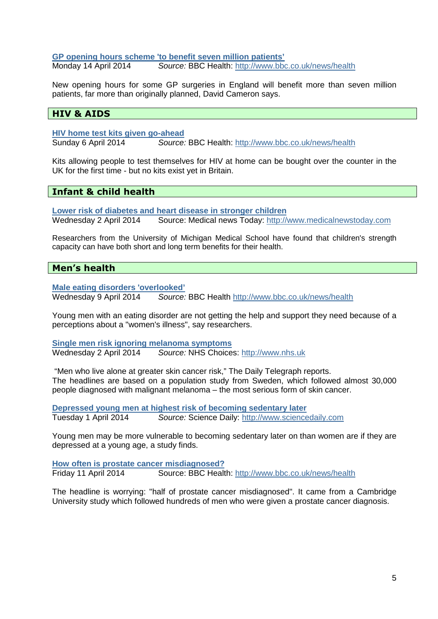**GP opening hours scheme 'to benefit seven million patients'**

Monday 14 April 2014 Source: BBC Health: http://www.bbc.co.uk/news/health

New opening hours for some GP surgeries in England will benefit more than seven million patients, far more than originally planned, David Cameron says.

## **HIV & AIDS**

**HIV home test kits given go-ahead** 

Sunday 6 April 2014 Source: BBC Health: http://www.bbc.co.uk/news/health

Kits allowing people to test themselves for HIV at home can be bought over the counter in the UK for the first time - but no kits exist yet in Britain.

## **Infant & child health**

**Lower risk of diabetes and heart disease in stronger children**

Wednesday 2 April 2014 Source: Medical news Today: http://www.medicalnewstoday.com

Researchers from the University of Michigan Medical School have found that children's strength capacity can have both short and long term benefits for their health.

# **Men's health**

**Male eating disorders 'overlooked'**

Wednesday 9 April 2014 Source: BBC Health http://www.bbc.co.uk/news/health

Young men with an eating disorder are not getting the help and support they need because of a perceptions about a "women's illness", say researchers.

**Single men risk ignoring melanoma symptoms** Wednesday 2 April 2014 Source: NHS Choices: http://www.nhs.uk

 "Men who live alone at greater skin cancer risk," The Daily Telegraph reports. The headlines are based on a population study from Sweden, which followed almost 30,000 people diagnosed with malignant melanoma – the most serious form of skin cancer.

**Depressed young men at highest risk of becoming sedentary later** Tuesday 1 April 2014 Source: Science Daily: http://www.sciencedaily.com

Young men may be more vulnerable to becoming sedentary later on than women are if they are depressed at a young age, a study finds.

**How often is prostate cancer misdiagnosed?** Friday 11 April 2014 Source: BBC Health: http://www.bbc.co.uk/news/health

The headline is worrying: "half of prostate cancer misdiagnosed". It came from a Cambridge University study which followed hundreds of men who were given a prostate cancer diagnosis.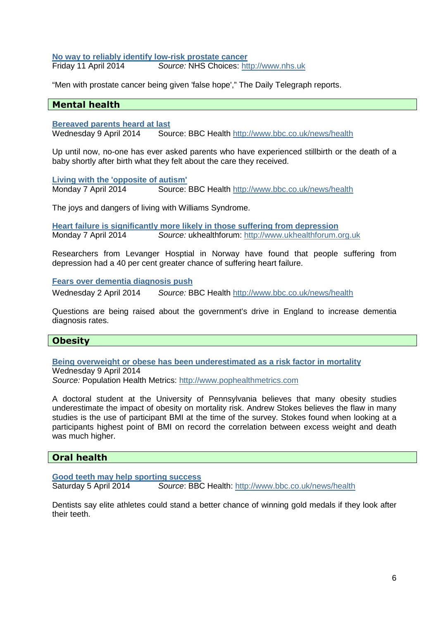**No way to reliably identify low-risk prostate cancer** Friday 11 April 2014 Source: NHS Choices: http://www.nhs.uk

"Men with prostate cancer being given 'false hope'," The Daily Telegraph reports.

## **Mental health**

#### **Bereaved parents heard at last**

Wednesday 9 April 2014 Source: BBC Health http://www.bbc.co.uk/news/health

Up until now, no-one has ever asked parents who have experienced stillbirth or the death of a baby shortly after birth what they felt about the care they received.

**Living with the 'opposite of autism'** Source: BBC Health http://www.bbc.co.uk/news/health

The joys and dangers of living with Williams Syndrome.

**Heart failure is significantly more likely in those suffering from depression**  Monday 7 April 2014 Source: ukhealthforum: http://www.ukhealthforum.org.uk

Researchers from Levanger Hosptial in Norway have found that people suffering from depression had a 40 per cent greater chance of suffering heart failure.

**Fears over dementia diagnosis push**

Wednesday 2 April 2014 Source: BBC Health http://www.bbc.co.uk/news/health

Questions are being raised about the government's drive in England to increase dementia diagnosis rates.

### **Obesity**

**Being overweight or obese has been underestimated as a risk factor in mortality**  Wednesday 9 April 2014

Source: Population Health Metrics: http://www.pophealthmetrics.com

A doctoral student at the University of Pennsylvania believes that many obesity studies underestimate the impact of obesity on mortality risk. Andrew Stokes believes the flaw in many studies is the use of participant BMI at the time of the survey. Stokes found when looking at a participants highest point of BMI on record the correlation between excess weight and death was much higher.

## **Oral health**

**Good teeth may help sporting success** 

Saturday 5 April 2014 Source: BBC Health: http://www.bbc.co.uk/news/health

Dentists say elite athletes could stand a better chance of winning gold medals if they look after their teeth.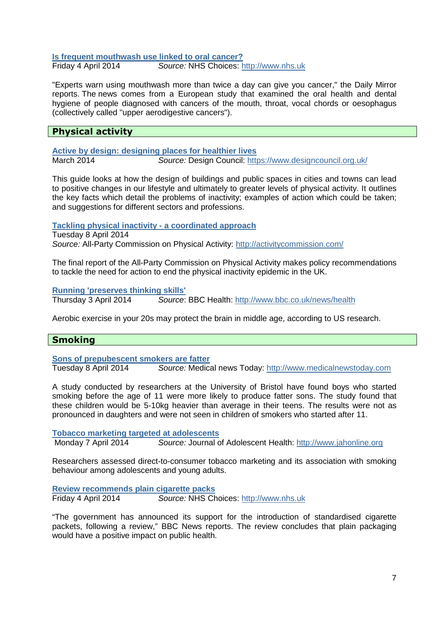**Is frequent mouthwash use linked to oral cancer?**

Friday 4 April 2014 Source: NHS Choices: http://www.nhs.uk

"Experts warn using mouthwash more than twice a day can give you cancer," the Daily Mirror reports. The news comes from a European study that examined the oral health and dental hygiene of people diagnosed with cancers of the mouth, throat, vocal chords or oesophagus (collectively called "upper aerodigestive cancers").

## **Physical activity**

**Active by design: designing places for healthier lives** March 2014 Source: Design Council: https://www.designcouncil.org.uk/

This guide looks at how the design of buildings and public spaces in cities and towns can lead to positive changes in our lifestyle and ultimately to greater levels of physical activity. It outlines the key facts which detail the problems of inactivity; examples of action which could be taken; and suggestions for different sectors and professions.

**Tackling physical inactivity - a coordinated approach**

Tuesday 8 April 2014 Source: All-Party Commission on Physical Activity: http://activitycommission.com/

The final report of the All-Party Commission on Physical Activity makes policy recommendations to tackle the need for action to end the physical inactivity epidemic in the UK.

**Running 'preserves thinking skills'**

Thursday 3 April 2014 Source: BBC Health: http://www.bbc.co.uk/news/health

Aerobic exercise in your 20s may protect the brain in middle age, according to US research.

## **Smoking**

**Sons of prepubescent smokers are fatter** 

Tuesday 8 April 2014 Source: Medical news Today: http://www.medicalnewstoday.com

A study conducted by researchers at the University of Bristol have found boys who started smoking before the age of 11 were more likely to produce fatter sons. The study found that these children would be 5-10kg heavier than average in their teens. The results were not as pronounced in daughters and were not seen in children of smokers who started after 11.

**Tobacco marketing targeted at adolescents** Monday 7 April 2014 Source: Journal of Adolescent Health: http://www.jahonline.org

Researchers assessed direct-to-consumer tobacco marketing and its association with smoking behaviour among adolescents and young adults.

**Review recommends plain cigarette packs** 

Friday 4 April 2014 Source: NHS Choices: http://www.nhs.uk

"The government has announced its support for the introduction of standardised cigarette packets, following a review," BBC News reports. The review concludes that plain packaging would have a positive impact on public health.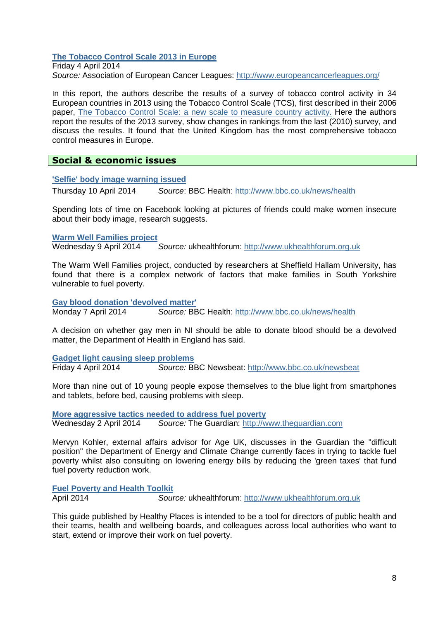### **The Tobacco Control Scale 2013 in Europe**

Friday 4 April 2014 Source: Association of European Cancer Leagues: http://www.europeancancerleagues.org/

In this report, the authors describe the results of a survey of tobacco control activity in 34 European countries in 2013 using the Tobacco Control Scale (TCS), first described in their 2006 paper, The Tobacco Control Scale: a new scale to measure country activity. Here the authors report the results of the 2013 survey, show changes in rankings from the last (2010) survey, and discuss the results. It found that the United Kingdom has the most comprehensive tobacco control measures in Europe.

## **Social & economic issues**

**'Selfie' body image warning issued**

Thursday 10 April 2014 Source: BBC Health: http://www.bbc.co.uk/news/health

Spending lots of time on Facebook looking at pictures of friends could make women insecure about their body image, research suggests.

**Warm Well Families project** 

Wednesday 9 April 2014 Source: ukhealthforum: http://www.ukhealthforum.org.uk

The Warm Well Families project, conducted by researchers at Sheffield Hallam University, has found that there is a complex network of factors that make families in South Yorkshire vulnerable to fuel poverty.

**Gay blood donation 'devolved matter'**

Monday 7 April 2014 Source: BBC Health: http://www.bbc.co.uk/news/health

A decision on whether gay men in NI should be able to donate blood should be a devolved matter, the Department of Health in England has said.

### **Gadget light causing sleep problems**

Friday 4 April 2014 Source: BBC Newsbeat: http://www.bbc.co.uk/newsbeat

More than nine out of 10 young people expose themselves to the blue light from smartphones and tablets, before bed, causing problems with sleep.

**More aggressive tactics needed to address fuel poverty**  Wednesday 2 April 2014 Source: The Guardian: http://www.theguardian.com

Mervyn Kohler, external affairs advisor for Age UK, discusses in the Guardian the "difficult position" the Department of Energy and Climate Change currently faces in trying to tackle fuel poverty whilst also consulting on lowering energy bills by reducing the 'green taxes' that fund fuel poverty reduction work.

**Fuel Poverty and Health Toolkit**

April 2014 Source: ukhealthforum: http://www.ukhealthforum.org.uk

This guide published by Healthy Places is intended to be a tool for directors of public health and their teams, health and wellbeing boards, and colleagues across local authorities who want to start, extend or improve their work on fuel poverty.